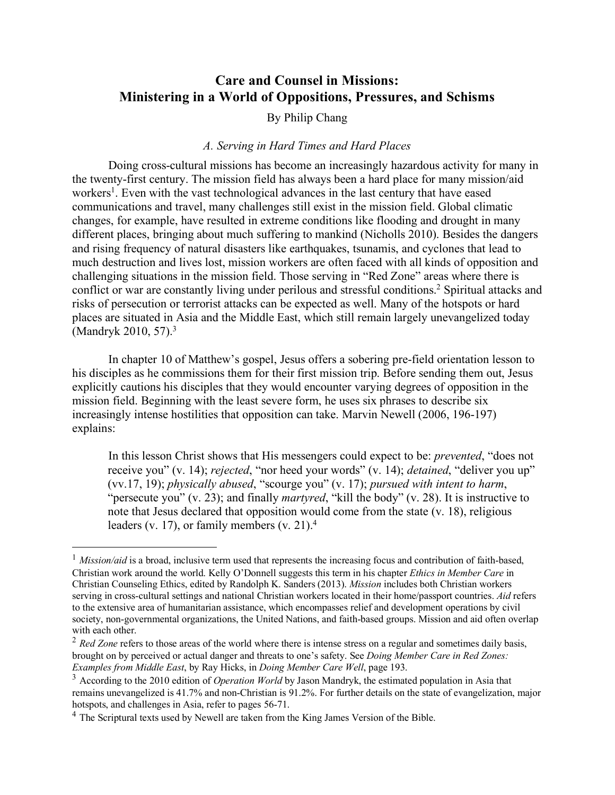# **Care and Counsel in Missions: Ministering in a World of Oppositions, Pressures, and Schisms**

# By Philip Chang

#### *A. Serving in Hard Times and Hard Places*

Doing cross-cultural missions has become an increasingly hazardous activity for many in the twenty-first century. The mission field has always been a hard place for many mission/aid workers<sup>1</sup>. Even with the vast technological advances in the last century that have eased communications and travel, many challenges still exist in the mission field. Global climatic changes, for example, have resulted in extreme conditions like flooding and drought in many different places, bringing about much suffering to mankind (Nicholls 2010). Besides the dangers and rising frequency of natural disasters like earthquakes, tsunamis, and cyclones that lead to much destruction and lives lost, mission workers are often faced with all kinds of opposition and challenging situations in the mission field. Those serving in "Red Zone" areas where there is conflict or war are constantly living under perilous and stressful conditions.<sup>2</sup> Spiritual attacks and risks of persecution or terrorist attacks can be expected as well. Many of the hotspots or hard places are situated in Asia and the Middle East, which still remain largely unevangelized today (Mandryk 2010, 57).<sup>3</sup>

In chapter 10 of Matthew's gospel, Jesus offers a sobering pre-field orientation lesson to his disciples as he commissions them for their first mission trip. Before sending them out, Jesus explicitly cautions his disciples that they would encounter varying degrees of opposition in the mission field. Beginning with the least severe form, he uses six phrases to describe six increasingly intense hostilities that opposition can take. Marvin Newell (2006, 196-197) explains:

In this lesson Christ shows that His messengers could expect to be: *prevented*, "does not receive you" (v. 14); *rejected*, "nor heed your words" (v. 14); *detained*, "deliver you up" (vv.17, 19); *physically abused*, "scourge you" (v. 17); *pursued with intent to harm*, "persecute you" (v. 23); and finally *martyred*, "kill the body" (v. 28). It is instructive to note that Jesus declared that opposition would come from the state (v. 18), religious leaders (v. 17), or family members (v. 21).<sup>4</sup>

<sup>&</sup>lt;sup>1</sup> *Mission/aid* is a broad, inclusive term used that represents the increasing focus and contribution of faith-based, Christian work around the world. Kelly O'Donnell suggests this term in his chapter *Ethics in Member Care* in Christian Counseling Ethics, edited by Randolph K. Sanders (2013). *Mission* includes both Christian workers serving in cross-cultural settings and national Christian workers located in their home/passport countries. *Aid* refers to the extensive area of humanitarian assistance, which encompasses relief and development operations by civil society, non-governmental organizations, the United Nations, and faith-based groups. Mission and aid often overlap with each other.

<sup>&</sup>lt;sup>2</sup> *Red Zone* refers to those areas of the world where there is intense stress on a regular and sometimes daily basis, brought on by perceived or actual danger and threats to one's safety. See *Doing Member Care in Red Zones: Examples from Middle East*, by Ray Hicks, in *Doing Member Care Well*, page 193.

<sup>3</sup> According to the 2010 edition of *Operation World* by Jason Mandryk, the estimated population in Asia that remains unevangelized is 41.7% and non-Christian is 91.2%. For further details on the state of evangelization, major hotspots, and challenges in Asia, refer to pages 56-71.

<sup>&</sup>lt;sup>4</sup> The Scriptural texts used by Newell are taken from the King James Version of the Bible.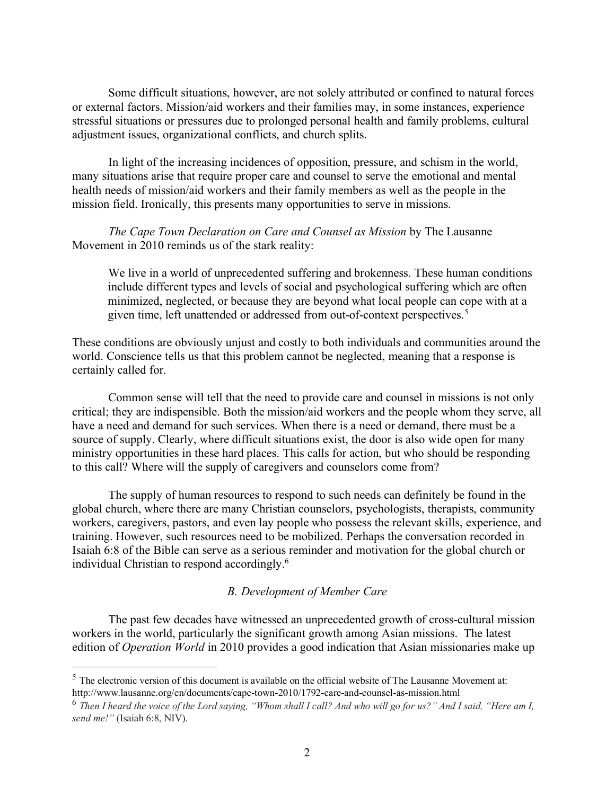Some difficult situations, however, are not solely attributed or confined to natural forces or external factors. Mission/aid workers and their families may, in some instances, experience stressful situations or pressures due to prolonged personal health and family problems, cultural adjustment issues, organizational conflicts, and church splits.

In light of the increasing incidences of opposition, pressure, and schism in the world, many situations arise that require proper care and counsel to serve the emotional and mental health needs of mission/aid workers and their family members as well as the people in the mission field. Ironically, this presents many opportunities to serve in missions.

*The Cape Town Declaration on Care and Counsel as Mission* by The Lausanne Movement in 2010 reminds us of the stark reality:

We live in a world of unprecedented suffering and brokenness. These human conditions include different types and levels of social and psychological suffering which are often minimized, neglected, or because they are beyond what local people can cope with at a given time, left unattended or addressed from out-of-context perspectives.<sup>5</sup>

These conditions are obviously unjust and costly to both individuals and communities around the world. Conscience tells us that this problem cannot be neglected, meaning that a response is certainly called for.

Common sense will tell that the need to provide care and counsel in missions is not only critical; they are indispensible. Both the mission/aid workers and the people whom they serve, all have a need and demand for such services. When there is a need or demand, there must be a source of supply. Clearly, where difficult situations exist, the door is also wide open for many ministry opportunities in these hard places. This calls for action, but who should be responding to this call? Where will the supply of caregivers and counselors come from?

The supply of human resources to respond to such needs can definitely be found in the global church, where there are many Christian counselors, psychologists, therapists, community workers, caregivers, pastors, and even lay people who possess the relevant skills, experience, and training. However, such resources need to be mobilized. Perhaps the conversation recorded in Isaiah 6:8 of the Bible can serve as a serious reminder and motivation for the global church or individual Christian to respond accordingly.6

# *B. Development of Member Care*

The past few decades have witnessed an unprecedented growth of cross-cultural mission workers in the world, particularly the significant growth among Asian missions. The latest edition of *Operation World* in 2010 provides a good indication that Asian missionaries make up

 $<sup>5</sup>$  The electronic version of this document is available on the official website of The Lausanne Movement at:</sup> http://www.lausanne.org/en/documents/cape-town-2010/1792-care-and-counsel-as-mission.html

<sup>6</sup> *Then I heard the voice of the Lord saying, "Whom shall I call? And who will go for us?" And I said, "Here am I, send me!"* (Isaiah 6:8, NIV).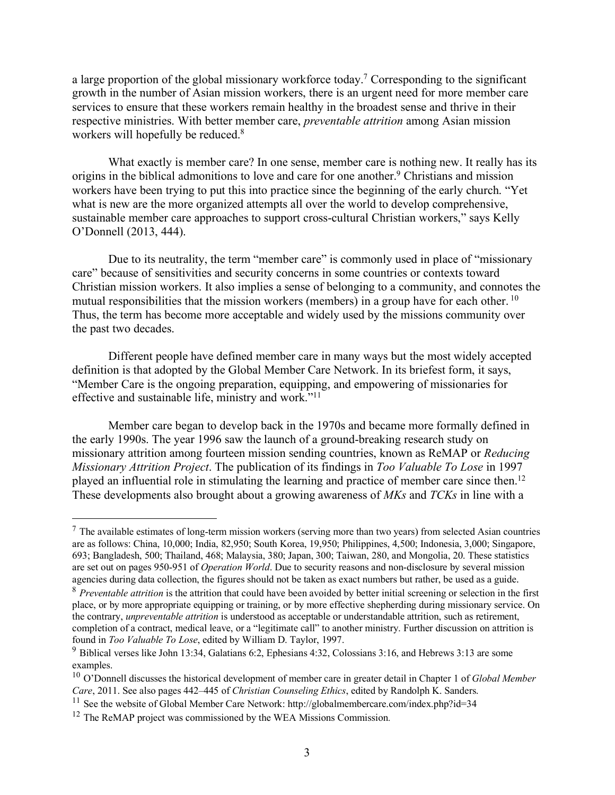a large proportion of the global missionary workforce today.<sup>7</sup> Corresponding to the significant growth in the number of Asian mission workers, there is an urgent need for more member care services to ensure that these workers remain healthy in the broadest sense and thrive in their respective ministries. With better member care, *preventable attrition* among Asian mission workers will hopefully be reduced.<sup>8</sup>

What exactly is member care? In one sense, member care is nothing new. It really has its origins in the biblical admonitions to love and care for one another.<sup>9</sup> Christians and mission workers have been trying to put this into practice since the beginning of the early church. "Yet what is new are the more organized attempts all over the world to develop comprehensive, sustainable member care approaches to support cross-cultural Christian workers," says Kelly O'Donnell (2013, 444).

Due to its neutrality, the term "member care" is commonly used in place of "missionary care" because of sensitivities and security concerns in some countries or contexts toward Christian mission workers. It also implies a sense of belonging to a community, and connotes the mutual responsibilities that the mission workers (members) in a group have for each other.<sup>10</sup> Thus, the term has become more acceptable and widely used by the missions community over the past two decades.

Different people have defined member care in many ways but the most widely accepted definition is that adopted by the Global Member Care Network. In its briefest form, it says, "Member Care is the ongoing preparation, equipping, and empowering of missionaries for effective and sustainable life, ministry and work."11

Member care began to develop back in the 1970s and became more formally defined in the early 1990s. The year 1996 saw the launch of a ground-breaking research study on missionary attrition among fourteen mission sending countries, known as ReMAP or *Reducing Missionary Attrition Project*. The publication of its findings in *Too Valuable To Lose* in 1997 played an influential role in stimulating the learning and practice of member care since then.12 These developments also brought about a growing awareness of *MKs* and *TCKs* in line with a

 $<sup>7</sup>$  The available estimates of long-term mission workers (serving more than two years) from selected Asian countries</sup> are as follows: China, 10,000; India, 82,950; South Korea, 19,950; Philippines, 4,500; Indonesia, 3,000; Singapore, 693; Bangladesh, 500; Thailand, 468; Malaysia, 380; Japan, 300; Taiwan, 280, and Mongolia, 20. These statistics are set out on pages 950-951 of *Operation World*. Due to security reasons and non-disclosure by several mission agencies during data collection, the figures should not be taken as exact numbers but rather, be used as a guide.

<sup>&</sup>lt;sup>8</sup> *Preventable attrition* is the attrition that could have been avoided by better initial screening or selection in the first place, or by more appropriate equipping or training, or by more effective shepherding during missionary service. On the contrary, *unpreventable attrition* is understood as acceptable or understandable attrition, such as retirement, completion of a contract, medical leave, or a "legitimate call" to another ministry. Further discussion on attrition is found in *Too Valuable To Lose*, edited by William D. Taylor, 1997.

<sup>9</sup> Biblical verses like John 13:34, Galatians 6:2, Ephesians 4:32, Colossians 3:16, and Hebrews 3:13 are some examples.

<sup>10</sup> O'Donnell discusses the historical development of member care in greater detail in Chapter 1 of *Global Member Care*, 2011. See also pages 442–445 of *Christian Counseling Ethics*, edited by Randolph K. Sanders.

<sup>&</sup>lt;sup>11</sup> See the website of Global Member Care Network: http://globalmembercare.com/index.php?id=34

<sup>12</sup> The ReMAP project was commissioned by the WEA Missions Commission*.*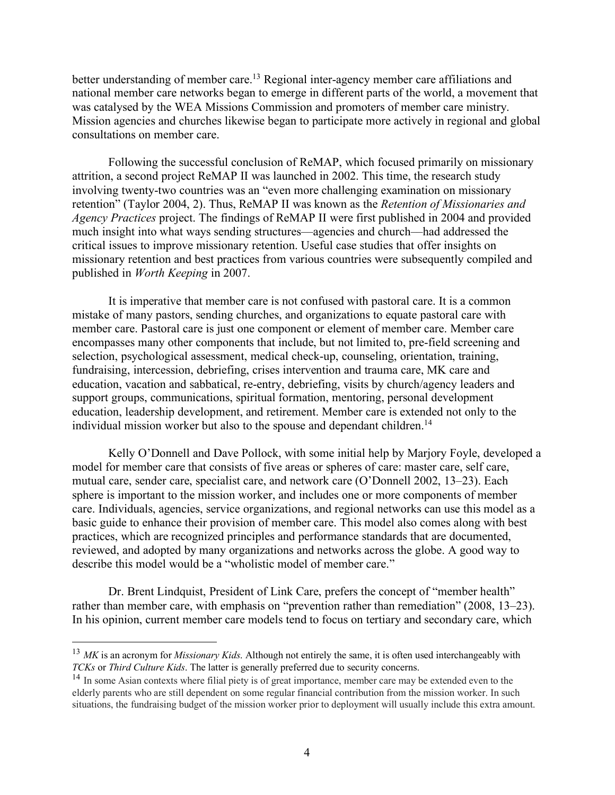better understanding of member care.<sup>13</sup> Regional inter-agency member care affiliations and national member care networks began to emerge in different parts of the world, a movement that was catalysed by the WEA Missions Commission and promoters of member care ministry. Mission agencies and churches likewise began to participate more actively in regional and global consultations on member care.

Following the successful conclusion of ReMAP, which focused primarily on missionary attrition, a second project ReMAP II was launched in 2002. This time, the research study involving twenty-two countries was an "even more challenging examination on missionary retention" (Taylor 2004, 2). Thus, ReMAP II was known as the *Retention of Missionaries and Agency Practices* project. The findings of ReMAP II were first published in 2004 and provided much insight into what ways sending structures––agencies and church––had addressed the critical issues to improve missionary retention. Useful case studies that offer insights on missionary retention and best practices from various countries were subsequently compiled and published in *Worth Keeping* in 2007.

It is imperative that member care is not confused with pastoral care. It is a common mistake of many pastors, sending churches, and organizations to equate pastoral care with member care. Pastoral care is just one component or element of member care. Member care encompasses many other components that include, but not limited to, pre-field screening and selection, psychological assessment, medical check-up, counseling, orientation, training, fundraising, intercession, debriefing, crises intervention and trauma care, MK care and education, vacation and sabbatical, re-entry, debriefing, visits by church/agency leaders and support groups, communications, spiritual formation, mentoring, personal development education, leadership development, and retirement. Member care is extended not only to the individual mission worker but also to the spouse and dependant children.<sup>14</sup>

Kelly O'Donnell and Dave Pollock, with some initial help by Marjory Foyle, developed a model for member care that consists of five areas or spheres of care: master care, self care, mutual care, sender care, specialist care, and network care (O'Donnell 2002, 13–23). Each sphere is important to the mission worker, and includes one or more components of member care. Individuals, agencies, service organizations, and regional networks can use this model as a basic guide to enhance their provision of member care. This model also comes along with best practices, which are recognized principles and performance standards that are documented, reviewed, and adopted by many organizations and networks across the globe. A good way to describe this model would be a "wholistic model of member care."

Dr. Brent Lindquist, President of Link Care, prefers the concept of "member health" rather than member care, with emphasis on "prevention rather than remediation" (2008, 13–23). In his opinion, current member care models tend to focus on tertiary and secondary care, which

 <sup>13</sup> *MK* is an acronym for *Missionary Kids*. Although not entirely the same, it is often used interchangeably with *TCKs* or *Third Culture Kids*. The latter is generally preferred due to security concerns.

<sup>&</sup>lt;sup>14</sup> In some Asian contexts where filial piety is of great importance, member care may be extended even to the elderly parents who are still dependent on some regular financial contribution from the mission worker. In such situations, the fundraising budget of the mission worker prior to deployment will usually include this extra amount.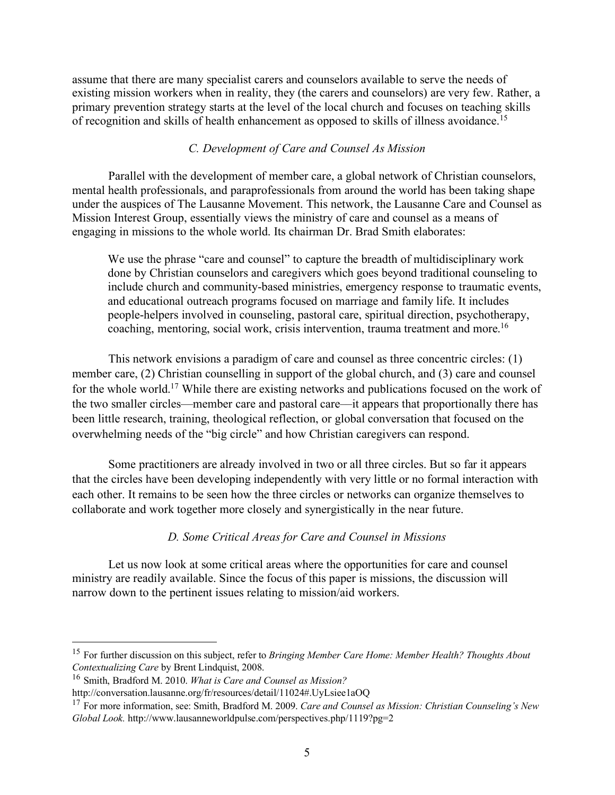assume that there are many specialist carers and counselors available to serve the needs of existing mission workers when in reality, they (the carers and counselors) are very few. Rather, a primary prevention strategy starts at the level of the local church and focuses on teaching skills of recognition and skills of health enhancement as opposed to skills of illness avoidance.15

#### *C. Development of Care and Counsel As Mission*

Parallel with the development of member care, a global network of Christian counselors, mental health professionals, and paraprofessionals from around the world has been taking shape under the auspices of The Lausanne Movement. This network, the Lausanne Care and Counsel as Mission Interest Group, essentially views the ministry of care and counsel as a means of engaging in missions to the whole world. Its chairman Dr. Brad Smith elaborates:

We use the phrase "care and counsel" to capture the breadth of multidisciplinary work done by Christian counselors and caregivers which goes beyond traditional counseling to include church and community-based ministries, emergency response to traumatic events, and educational outreach programs focused on marriage and family life. It includes people-helpers involved in counseling, pastoral care, spiritual direction, psychotherapy, coaching, mentoring, social work, crisis intervention, trauma treatment and more.<sup>16</sup>

This network envisions a paradigm of care and counsel as three concentric circles: (1) member care, (2) Christian counselling in support of the global church, and (3) care and counsel for the whole world.17 While there are existing networks and publications focused on the work of the two smaller circles––member care and pastoral care––it appears that proportionally there has been little research, training, theological reflection, or global conversation that focused on the overwhelming needs of the "big circle" and how Christian caregivers can respond.

Some practitioners are already involved in two or all three circles. But so far it appears that the circles have been developing independently with very little or no formal interaction with each other. It remains to be seen how the three circles or networks can organize themselves to collaborate and work together more closely and synergistically in the near future.

#### *D. Some Critical Areas for Care and Counsel in Missions*

Let us now look at some critical areas where the opportunities for care and counsel ministry are readily available. Since the focus of this paper is missions, the discussion will narrow down to the pertinent issues relating to mission/aid workers.

 <sup>15</sup> For further discussion on this subject, refer to *Bringing Member Care Home: Member Health? Thoughts About Contextualizing Care* by Brent Lindquist, 2008.

<sup>16</sup> Smith, Bradford M. 2010. *What is Care and Counsel as Mission?*

http://conversation.lausanne.org/fr/resources/detail/11024#.UyLsiee1aOQ

<sup>17</sup> For more information, see: Smith, Bradford M. 2009. *Care and Counsel as Mission: Christian Counseling's New Global Look.* http://www.lausanneworldpulse.com/perspectives.php/1119?pg=2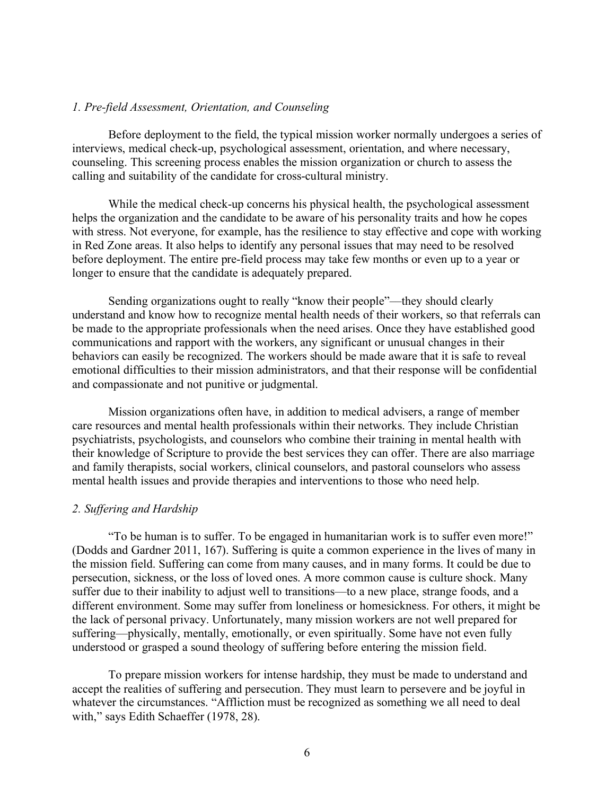#### *1. Pre-field Assessment, Orientation, and Counseling*

Before deployment to the field, the typical mission worker normally undergoes a series of interviews, medical check-up, psychological assessment, orientation, and where necessary, counseling. This screening process enables the mission organization or church to assess the calling and suitability of the candidate for cross-cultural ministry.

While the medical check-up concerns his physical health, the psychological assessment helps the organization and the candidate to be aware of his personality traits and how he copes with stress. Not everyone, for example, has the resilience to stay effective and cope with working in Red Zone areas. It also helps to identify any personal issues that may need to be resolved before deployment. The entire pre-field process may take few months or even up to a year or longer to ensure that the candidate is adequately prepared.

Sending organizations ought to really "know their people"––they should clearly understand and know how to recognize mental health needs of their workers, so that referrals can be made to the appropriate professionals when the need arises. Once they have established good communications and rapport with the workers, any significant or unusual changes in their behaviors can easily be recognized. The workers should be made aware that it is safe to reveal emotional difficulties to their mission administrators, and that their response will be confidential and compassionate and not punitive or judgmental.

Mission organizations often have, in addition to medical advisers, a range of member care resources and mental health professionals within their networks. They include Christian psychiatrists, psychologists, and counselors who combine their training in mental health with their knowledge of Scripture to provide the best services they can offer. There are also marriage and family therapists, social workers, clinical counselors, and pastoral counselors who assess mental health issues and provide therapies and interventions to those who need help.

#### *2. Suffering and Hardship*

"To be human is to suffer. To be engaged in humanitarian work is to suffer even more!" (Dodds and Gardner 2011, 167). Suffering is quite a common experience in the lives of many in the mission field. Suffering can come from many causes, and in many forms. It could be due to persecution, sickness, or the loss of loved ones. A more common cause is culture shock. Many suffer due to their inability to adjust well to transitions––to a new place, strange foods, and a different environment. Some may suffer from loneliness or homesickness. For others, it might be the lack of personal privacy. Unfortunately, many mission workers are not well prepared for suffering––physically, mentally, emotionally, or even spiritually. Some have not even fully understood or grasped a sound theology of suffering before entering the mission field.

To prepare mission workers for intense hardship, they must be made to understand and accept the realities of suffering and persecution. They must learn to persevere and be joyful in whatever the circumstances. "Affliction must be recognized as something we all need to deal with," says Edith Schaeffer (1978, 28).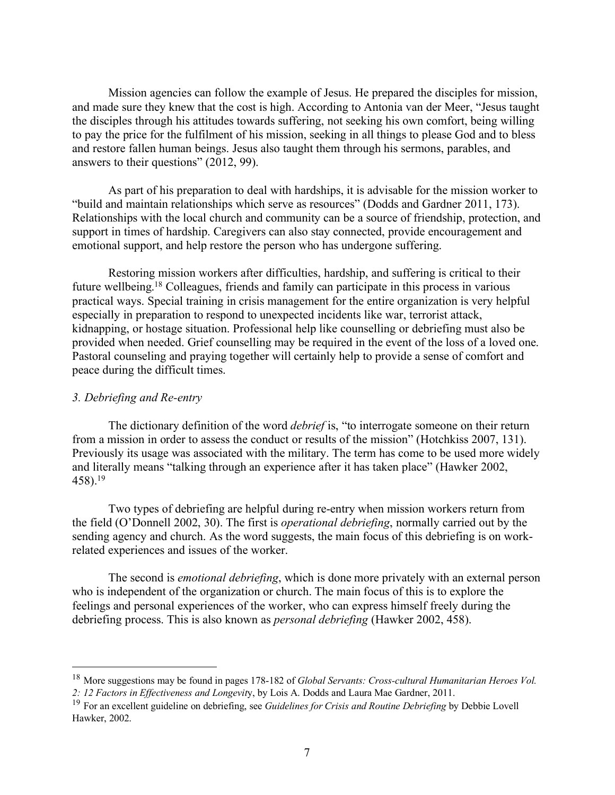Mission agencies can follow the example of Jesus. He prepared the disciples for mission, and made sure they knew that the cost is high. According to Antonia van der Meer, "Jesus taught the disciples through his attitudes towards suffering, not seeking his own comfort, being willing to pay the price for the fulfilment of his mission, seeking in all things to please God and to bless and restore fallen human beings. Jesus also taught them through his sermons, parables, and answers to their questions" (2012, 99).

As part of his preparation to deal with hardships, it is advisable for the mission worker to "build and maintain relationships which serve as resources" (Dodds and Gardner 2011, 173). Relationships with the local church and community can be a source of friendship, protection, and support in times of hardship. Caregivers can also stay connected, provide encouragement and emotional support, and help restore the person who has undergone suffering.

Restoring mission workers after difficulties, hardship, and suffering is critical to their future wellbeing.18 Colleagues, friends and family can participate in this process in various practical ways. Special training in crisis management for the entire organization is very helpful especially in preparation to respond to unexpected incidents like war, terrorist attack, kidnapping, or hostage situation. Professional help like counselling or debriefing must also be provided when needed. Grief counselling may be required in the event of the loss of a loved one. Pastoral counseling and praying together will certainly help to provide a sense of comfort and peace during the difficult times.

## *3. Debriefing and Re-entry*

The dictionary definition of the word *debrief* is, "to interrogate someone on their return from a mission in order to assess the conduct or results of the mission" (Hotchkiss 2007, 131). Previously its usage was associated with the military. The term has come to be used more widely and literally means "talking through an experience after it has taken place" (Hawker 2002,  $458$ ).<sup>19</sup>

Two types of debriefing are helpful during re-entry when mission workers return from the field (O'Donnell 2002, 30). The first is *operational debriefing*, normally carried out by the sending agency and church. As the word suggests, the main focus of this debriefing is on workrelated experiences and issues of the worker.

The second is *emotional debriefing*, which is done more privately with an external person who is independent of the organization or church. The main focus of this is to explore the feelings and personal experiences of the worker, who can express himself freely during the debriefing process. This is also known as *personal debriefing* (Hawker 2002, 458).

 <sup>18</sup> More suggestions may be found in pages 178-182 of *Global Servants: Cross-cultural Humanitarian Heroes Vol. 2: 12 Factors in Effectiveness and Longevit*y, by Lois A. Dodds and Laura Mae Gardner, 2011.

<sup>19</sup> For an excellent guideline on debriefing, see *Guidelines for Crisis and Routine Debriefing* by Debbie Lovell Hawker, 2002.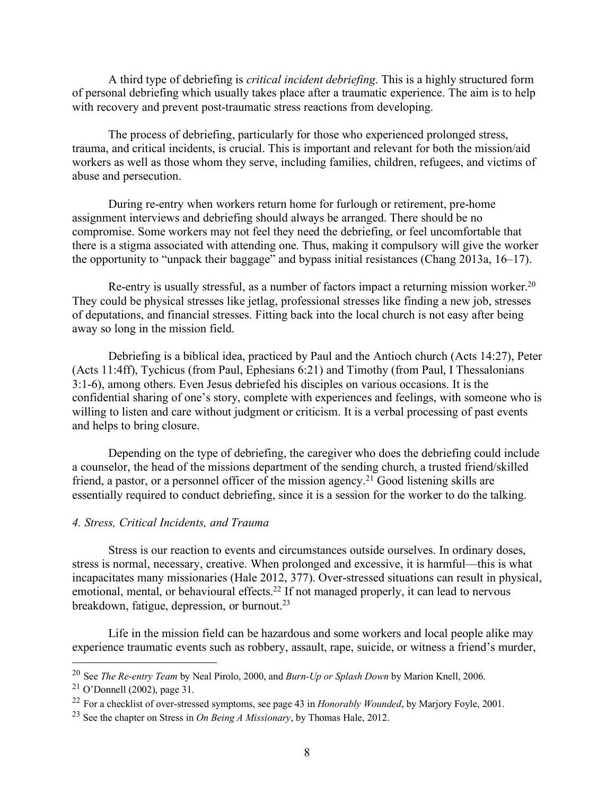A third type of debriefing is *critical incident debriefing*. This is a highly structured form of personal debriefing which usually takes place after a traumatic experience. The aim is to help with recovery and prevent post-traumatic stress reactions from developing.

The process of debriefing, particularly for those who experienced prolonged stress, trauma, and critical incidents, is crucial. This is important and relevant for both the mission/aid workers as well as those whom they serve, including families, children, refugees, and victims of abuse and persecution.

During re-entry when workers return home for furlough or retirement, pre-home assignment interviews and debriefing should always be arranged. There should be no compromise. Some workers may not feel they need the debriefing, or feel uncomfortable that there is a stigma associated with attending one. Thus, making it compulsory will give the worker the opportunity to "unpack their baggage" and bypass initial resistances (Chang 2013a, 16–17).

Re-entry is usually stressful, as a number of factors impact a returning mission worker.<sup>20</sup> They could be physical stresses like jetlag, professional stresses like finding a new job, stresses of deputations, and financial stresses. Fitting back into the local church is not easy after being away so long in the mission field.

Debriefing is a biblical idea, practiced by Paul and the Antioch church (Acts 14:27), Peter (Acts 11:4ff), Tychicus (from Paul, Ephesians 6:21) and Timothy (from Paul, I Thessalonians 3:1-6), among others. Even Jesus debriefed his disciples on various occasions. It is the confidential sharing of one's story, complete with experiences and feelings, with someone who is willing to listen and care without judgment or criticism. It is a verbal processing of past events and helps to bring closure.

Depending on the type of debriefing, the caregiver who does the debriefing could include a counselor, the head of the missions department of the sending church, a trusted friend/skilled friend, a pastor, or a personnel officer of the mission agency.21 Good listening skills are essentially required to conduct debriefing, since it is a session for the worker to do the talking.

#### *4. Stress, Critical Incidents, and Trauma*

Stress is our reaction to events and circumstances outside ourselves. In ordinary doses, stress is normal, necessary, creative. When prolonged and excessive, it is harmful––this is what incapacitates many missionaries (Hale 2012, 377). Over-stressed situations can result in physical, emotional, mental, or behavioural effects.<sup>22</sup> If not managed properly, it can lead to nervous breakdown, fatigue, depression, or burnout.<sup>23</sup>

Life in the mission field can be hazardous and some workers and local people alike may experience traumatic events such as robbery, assault, rape, suicide, or witness a friend's murder,

 <sup>20</sup> See *The Re-entry Team* by Neal Pirolo, 2000, and *Burn-Up or Splash Down* by Marion Knell, 2006.

<sup>21</sup> O'Donnell (2002), page 31.

<sup>22</sup> For a checklist of over-stressed symptoms, see page 43 in *Honorably Wounded*, by Marjory Foyle, 2001.

<sup>23</sup> See the chapter on Stress in *On Being A Missionary*, by Thomas Hale, 2012.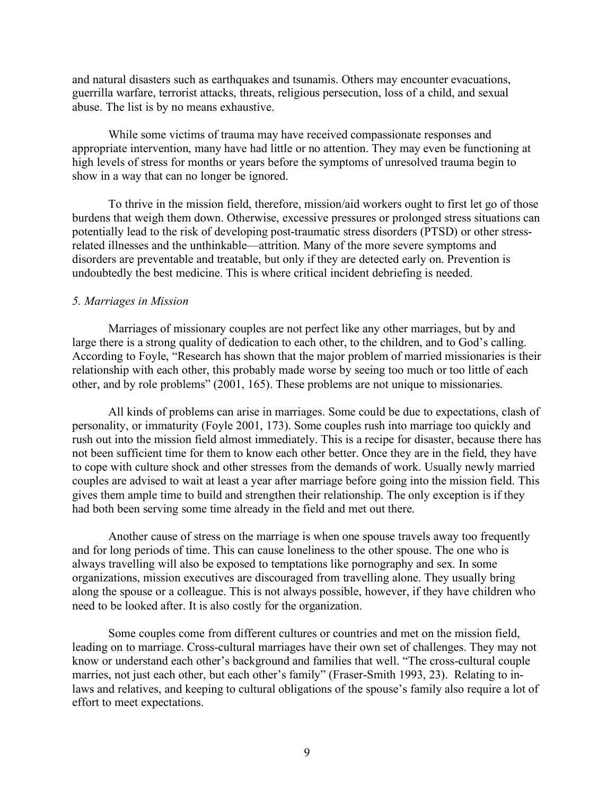and natural disasters such as earthquakes and tsunamis. Others may encounter evacuations, guerrilla warfare, terrorist attacks, threats, religious persecution, loss of a child, and sexual abuse. The list is by no means exhaustive.

While some victims of trauma may have received compassionate responses and appropriate intervention, many have had little or no attention. They may even be functioning at high levels of stress for months or years before the symptoms of unresolved trauma begin to show in a way that can no longer be ignored.

To thrive in the mission field, therefore, mission/aid workers ought to first let go of those burdens that weigh them down. Otherwise, excessive pressures or prolonged stress situations can potentially lead to the risk of developing post-traumatic stress disorders (PTSD) or other stressrelated illnesses and the unthinkable––attrition. Many of the more severe symptoms and disorders are preventable and treatable, but only if they are detected early on. Prevention is undoubtedly the best medicine. This is where critical incident debriefing is needed.

#### *5. Marriages in Mission*

Marriages of missionary couples are not perfect like any other marriages, but by and large there is a strong quality of dedication to each other, to the children, and to God's calling. According to Foyle, "Research has shown that the major problem of married missionaries is their relationship with each other, this probably made worse by seeing too much or too little of each other, and by role problems" (2001, 165). These problems are not unique to missionaries.

All kinds of problems can arise in marriages. Some could be due to expectations, clash of personality, or immaturity (Foyle 2001, 173). Some couples rush into marriage too quickly and rush out into the mission field almost immediately. This is a recipe for disaster, because there has not been sufficient time for them to know each other better. Once they are in the field, they have to cope with culture shock and other stresses from the demands of work. Usually newly married couples are advised to wait at least a year after marriage before going into the mission field. This gives them ample time to build and strengthen their relationship. The only exception is if they had both been serving some time already in the field and met out there.

Another cause of stress on the marriage is when one spouse travels away too frequently and for long periods of time. This can cause loneliness to the other spouse. The one who is always travelling will also be exposed to temptations like pornography and sex. In some organizations, mission executives are discouraged from travelling alone. They usually bring along the spouse or a colleague. This is not always possible, however, if they have children who need to be looked after. It is also costly for the organization.

Some couples come from different cultures or countries and met on the mission field, leading on to marriage. Cross-cultural marriages have their own set of challenges. They may not know or understand each other's background and families that well. "The cross-cultural couple marries, not just each other, but each other's family" (Fraser-Smith 1993, 23). Relating to inlaws and relatives, and keeping to cultural obligations of the spouse's family also require a lot of effort to meet expectations.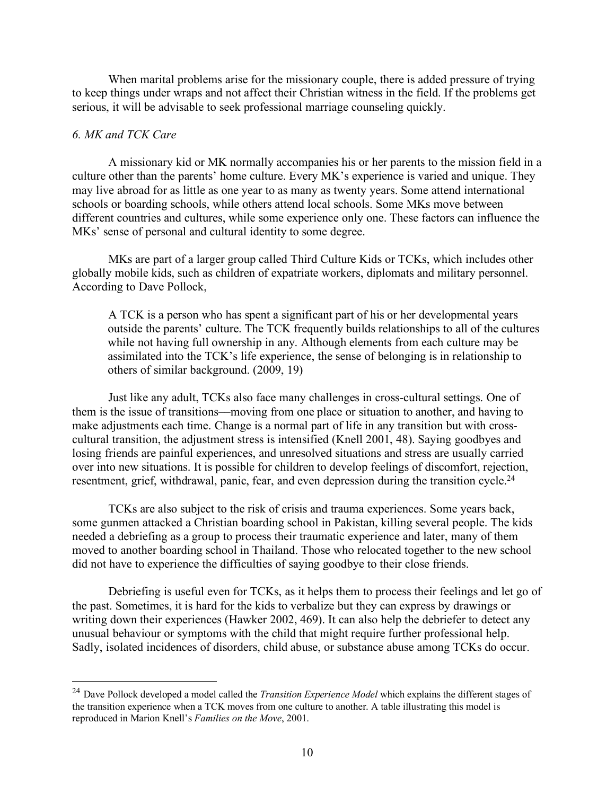When marital problems arise for the missionary couple, there is added pressure of trying to keep things under wraps and not affect their Christian witness in the field. If the problems get serious, it will be advisable to seek professional marriage counseling quickly.

# *6. MK and TCK Care*

A missionary kid or MK normally accompanies his or her parents to the mission field in a culture other than the parents' home culture. Every MK's experience is varied and unique. They may live abroad for as little as one year to as many as twenty years. Some attend international schools or boarding schools, while others attend local schools. Some MKs move between different countries and cultures, while some experience only one. These factors can influence the MKs' sense of personal and cultural identity to some degree.

MKs are part of a larger group called Third Culture Kids or TCKs, which includes other globally mobile kids, such as children of expatriate workers, diplomats and military personnel. According to Dave Pollock,

A TCK is a person who has spent a significant part of his or her developmental years outside the parents' culture. The TCK frequently builds relationships to all of the cultures while not having full ownership in any. Although elements from each culture may be assimilated into the TCK's life experience, the sense of belonging is in relationship to others of similar background. (2009, 19)

Just like any adult, TCKs also face many challenges in cross-cultural settings. One of them is the issue of transitions––moving from one place or situation to another, and having to make adjustments each time. Change is a normal part of life in any transition but with crosscultural transition, the adjustment stress is intensified (Knell 2001, 48). Saying goodbyes and losing friends are painful experiences, and unresolved situations and stress are usually carried over into new situations. It is possible for children to develop feelings of discomfort, rejection, resentment, grief, withdrawal, panic, fear, and even depression during the transition cycle.<sup>24</sup>

TCKs are also subject to the risk of crisis and trauma experiences. Some years back, some gunmen attacked a Christian boarding school in Pakistan, killing several people. The kids needed a debriefing as a group to process their traumatic experience and later, many of them moved to another boarding school in Thailand. Those who relocated together to the new school did not have to experience the difficulties of saying goodbye to their close friends.

Debriefing is useful even for TCKs, as it helps them to process their feelings and let go of the past. Sometimes, it is hard for the kids to verbalize but they can express by drawings or writing down their experiences (Hawker 2002, 469). It can also help the debriefer to detect any unusual behaviour or symptoms with the child that might require further professional help. Sadly, isolated incidences of disorders, child abuse, or substance abuse among TCKs do occur.

 <sup>24</sup> Dave Pollock developed a model called the *Transition Experience Model* which explains the different stages of the transition experience when a TCK moves from one culture to another. A table illustrating this model is reproduced in Marion Knell's *Families on the Move*, 2001.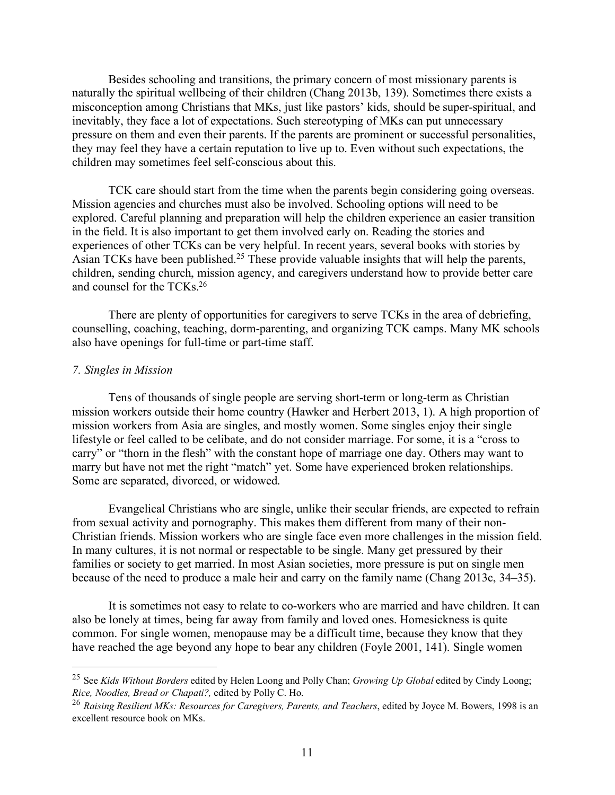Besides schooling and transitions, the primary concern of most missionary parents is naturally the spiritual wellbeing of their children (Chang 2013b, 139). Sometimes there exists a misconception among Christians that MKs, just like pastors' kids, should be super-spiritual, and inevitably, they face a lot of expectations. Such stereotyping of MKs can put unnecessary pressure on them and even their parents. If the parents are prominent or successful personalities, they may feel they have a certain reputation to live up to. Even without such expectations, the children may sometimes feel self-conscious about this.

TCK care should start from the time when the parents begin considering going overseas. Mission agencies and churches must also be involved. Schooling options will need to be explored. Careful planning and preparation will help the children experience an easier transition in the field. It is also important to get them involved early on. Reading the stories and experiences of other TCKs can be very helpful. In recent years, several books with stories by Asian TCKs have been published.25 These provide valuable insights that will help the parents, children, sending church, mission agency, and caregivers understand how to provide better care and counsel for the TCKs.26

There are plenty of opportunities for caregivers to serve TCKs in the area of debriefing, counselling, coaching, teaching, dorm-parenting, and organizing TCK camps. Many MK schools also have openings for full-time or part-time staff.

#### *7. Singles in Mission*

Tens of thousands of single people are serving short-term or long-term as Christian mission workers outside their home country (Hawker and Herbert 2013, 1). A high proportion of mission workers from Asia are singles, and mostly women. Some singles enjoy their single lifestyle or feel called to be celibate, and do not consider marriage. For some, it is a "cross to carry" or "thorn in the flesh" with the constant hope of marriage one day. Others may want to marry but have not met the right "match" yet. Some have experienced broken relationships. Some are separated, divorced, or widowed.

Evangelical Christians who are single, unlike their secular friends, are expected to refrain from sexual activity and pornography. This makes them different from many of their non-Christian friends. Mission workers who are single face even more challenges in the mission field. In many cultures, it is not normal or respectable to be single. Many get pressured by their families or society to get married. In most Asian societies, more pressure is put on single men because of the need to produce a male heir and carry on the family name (Chang 2013c, 34–35).

It is sometimes not easy to relate to co-workers who are married and have children. It can also be lonely at times, being far away from family and loved ones. Homesickness is quite common. For single women, menopause may be a difficult time, because they know that they have reached the age beyond any hope to bear any children (Foyle 2001, 141). Single women

 <sup>25</sup> See *Kids Without Borders* edited by Helen Loong and Polly Chan; *Growing Up Global* edited by Cindy Loong; *Rice, Noodles, Bread or Chapati?,* edited by Polly C. Ho.

<sup>26</sup> *Raising Resilient MKs: Resources for Caregivers, Parents, and Teachers*, edited by Joyce M. Bowers, 1998 is an excellent resource book on MKs.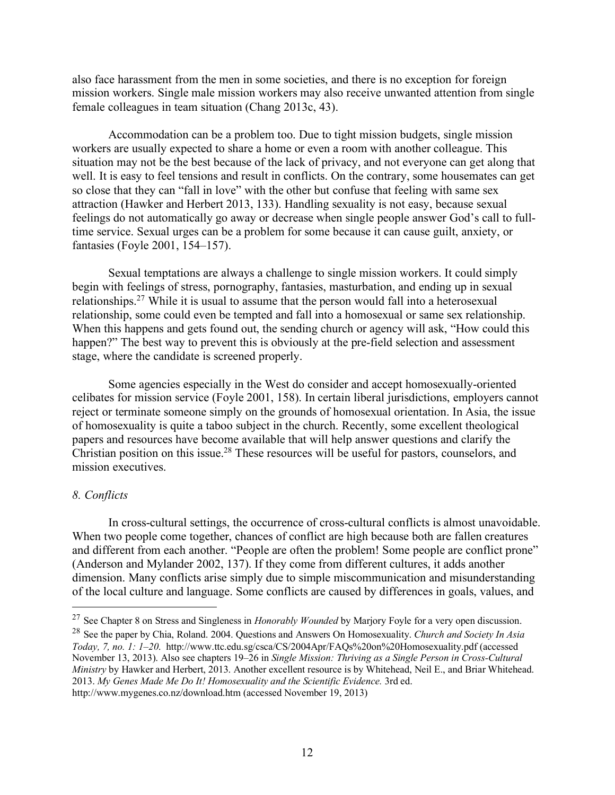also face harassment from the men in some societies, and there is no exception for foreign mission workers. Single male mission workers may also receive unwanted attention from single female colleagues in team situation (Chang 2013c, 43).

Accommodation can be a problem too. Due to tight mission budgets, single mission workers are usually expected to share a home or even a room with another colleague. This situation may not be the best because of the lack of privacy, and not everyone can get along that well. It is easy to feel tensions and result in conflicts. On the contrary, some housemates can get so close that they can "fall in love" with the other but confuse that feeling with same sex attraction (Hawker and Herbert 2013, 133). Handling sexuality is not easy, because sexual feelings do not automatically go away or decrease when single people answer God's call to fulltime service. Sexual urges can be a problem for some because it can cause guilt, anxiety, or fantasies (Foyle 2001, 154–157).

Sexual temptations are always a challenge to single mission workers. It could simply begin with feelings of stress, pornography, fantasies, masturbation, and ending up in sexual relationships.27 While it is usual to assume that the person would fall into a heterosexual relationship, some could even be tempted and fall into a homosexual or same sex relationship. When this happens and gets found out, the sending church or agency will ask, "How could this happen?" The best way to prevent this is obviously at the pre-field selection and assessment stage, where the candidate is screened properly.

Some agencies especially in the West do consider and accept homosexually-oriented celibates for mission service (Foyle 2001, 158). In certain liberal jurisdictions, employers cannot reject or terminate someone simply on the grounds of homosexual orientation. In Asia, the issue of homosexuality is quite a taboo subject in the church. Recently, some excellent theological papers and resources have become available that will help answer questions and clarify the Christian position on this issue. <sup>28</sup> These resources will be useful for pastors, counselors, and mission executives.

# *8. Conflicts*

In cross-cultural settings, the occurrence of cross-cultural conflicts is almost unavoidable. When two people come together, chances of conflict are high because both are fallen creatures and different from each another. "People are often the problem! Some people are conflict prone" (Anderson and Mylander 2002, 137). If they come from different cultures, it adds another dimension. Many conflicts arise simply due to simple miscommunication and misunderstanding of the local culture and language. Some conflicts are caused by differences in goals, values, and

 <sup>27</sup> See Chapter 8 on Stress and Singleness in *Honorably Wounded* by Marjory Foyle for a very open discussion.

<sup>28</sup> See the paper by Chia, Roland. 2004. Questions and Answers On Homosexuality. *Church and Society In Asia Today, 7, no. 1: 1–20*. http://www.ttc.edu.sg/csca/CS/2004Apr/FAQs%20on%20Homosexuality.pdf (accessed November 13, 2013). Also see chapters 19–26 in *Single Mission: Thriving as a Single Person in Cross-Cultural Ministry* by Hawker and Herbert, 2013. Another excellent resource is by Whitehead, Neil E., and Briar Whitehead. 2013. *My Genes Made Me Do It! Homosexuality and the Scientific Evidence.* 3rd ed. http://www.mygenes.co.nz/download.htm (accessed November 19, 2013)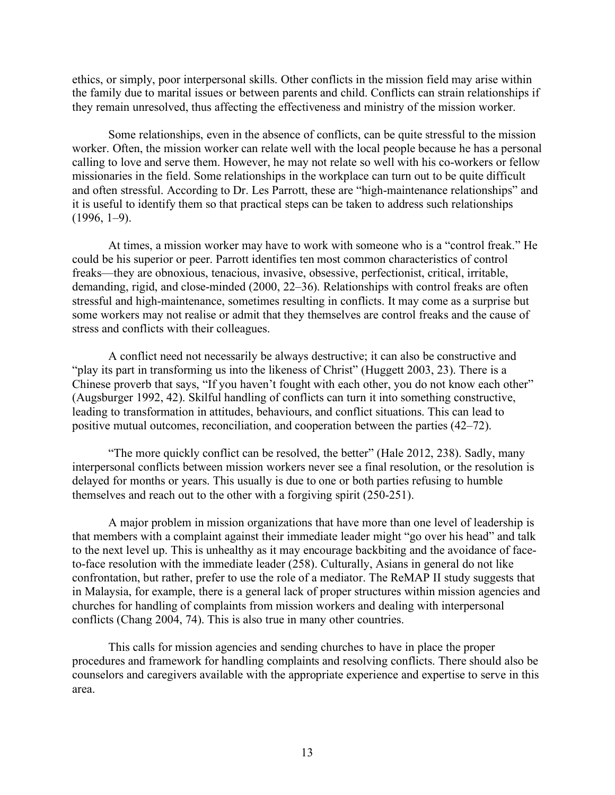ethics, or simply, poor interpersonal skills. Other conflicts in the mission field may arise within the family due to marital issues or between parents and child. Conflicts can strain relationships if they remain unresolved, thus affecting the effectiveness and ministry of the mission worker.

Some relationships, even in the absence of conflicts, can be quite stressful to the mission worker. Often, the mission worker can relate well with the local people because he has a personal calling to love and serve them. However, he may not relate so well with his co-workers or fellow missionaries in the field. Some relationships in the workplace can turn out to be quite difficult and often stressful. According to Dr. Les Parrott, these are "high-maintenance relationships" and it is useful to identify them so that practical steps can be taken to address such relationships  $(1996, 1-9)$ .

At times, a mission worker may have to work with someone who is a "control freak." He could be his superior or peer. Parrott identifies ten most common characteristics of control freaks––they are obnoxious, tenacious, invasive, obsessive, perfectionist, critical, irritable, demanding, rigid, and close-minded (2000, 22–36). Relationships with control freaks are often stressful and high-maintenance, sometimes resulting in conflicts. It may come as a surprise but some workers may not realise or admit that they themselves are control freaks and the cause of stress and conflicts with their colleagues.

A conflict need not necessarily be always destructive; it can also be constructive and "play its part in transforming us into the likeness of Christ" (Huggett 2003, 23). There is a Chinese proverb that says, "If you haven't fought with each other, you do not know each other" (Augsburger 1992, 42). Skilful handling of conflicts can turn it into something constructive, leading to transformation in attitudes, behaviours, and conflict situations. This can lead to positive mutual outcomes, reconciliation, and cooperation between the parties (42–72).

"The more quickly conflict can be resolved, the better" (Hale 2012, 238). Sadly, many interpersonal conflicts between mission workers never see a final resolution, or the resolution is delayed for months or years. This usually is due to one or both parties refusing to humble themselves and reach out to the other with a forgiving spirit (250-251).

A major problem in mission organizations that have more than one level of leadership is that members with a complaint against their immediate leader might "go over his head" and talk to the next level up. This is unhealthy as it may encourage backbiting and the avoidance of faceto-face resolution with the immediate leader (258). Culturally, Asians in general do not like confrontation, but rather, prefer to use the role of a mediator. The ReMAP II study suggests that in Malaysia, for example, there is a general lack of proper structures within mission agencies and churches for handling of complaints from mission workers and dealing with interpersonal conflicts (Chang 2004, 74). This is also true in many other countries.

This calls for mission agencies and sending churches to have in place the proper procedures and framework for handling complaints and resolving conflicts. There should also be counselors and caregivers available with the appropriate experience and expertise to serve in this area.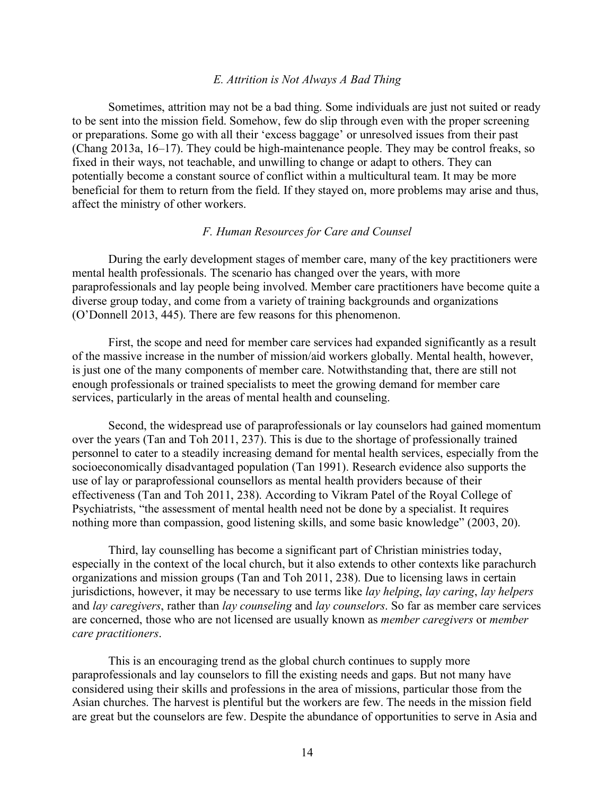# *E. Attrition is Not Always A Bad Thing*

Sometimes, attrition may not be a bad thing. Some individuals are just not suited or ready to be sent into the mission field. Somehow, few do slip through even with the proper screening or preparations. Some go with all their 'excess baggage' or unresolved issues from their past (Chang 2013a, 16–17). They could be high-maintenance people. They may be control freaks, so fixed in their ways, not teachable, and unwilling to change or adapt to others. They can potentially become a constant source of conflict within a multicultural team. It may be more beneficial for them to return from the field. If they stayed on, more problems may arise and thus, affect the ministry of other workers.

# *F. Human Resources for Care and Counsel*

During the early development stages of member care, many of the key practitioners were mental health professionals. The scenario has changed over the years, with more paraprofessionals and lay people being involved. Member care practitioners have become quite a diverse group today, and come from a variety of training backgrounds and organizations (O'Donnell 2013, 445). There are few reasons for this phenomenon.

First, the scope and need for member care services had expanded significantly as a result of the massive increase in the number of mission/aid workers globally. Mental health, however, is just one of the many components of member care. Notwithstanding that, there are still not enough professionals or trained specialists to meet the growing demand for member care services, particularly in the areas of mental health and counseling.

Second, the widespread use of paraprofessionals or lay counselors had gained momentum over the years (Tan and Toh 2011, 237). This is due to the shortage of professionally trained personnel to cater to a steadily increasing demand for mental health services, especially from the socioeconomically disadvantaged population (Tan 1991). Research evidence also supports the use of lay or paraprofessional counsellors as mental health providers because of their effectiveness (Tan and Toh 2011, 238). According to Vikram Patel of the Royal College of Psychiatrists, "the assessment of mental health need not be done by a specialist. It requires nothing more than compassion, good listening skills, and some basic knowledge" (2003, 20).

Third, lay counselling has become a significant part of Christian ministries today, especially in the context of the local church, but it also extends to other contexts like parachurch organizations and mission groups (Tan and Toh 2011, 238). Due to licensing laws in certain jurisdictions, however, it may be necessary to use terms like *lay helping*, *lay caring*, *lay helpers* and *lay caregivers*, rather than *lay counseling* and *lay counselors*. So far as member care services are concerned, those who are not licensed are usually known as *member caregivers* or *member care practitioners*.

This is an encouraging trend as the global church continues to supply more paraprofessionals and lay counselors to fill the existing needs and gaps. But not many have considered using their skills and professions in the area of missions, particular those from the Asian churches. The harvest is plentiful but the workers are few. The needs in the mission field are great but the counselors are few. Despite the abundance of opportunities to serve in Asia and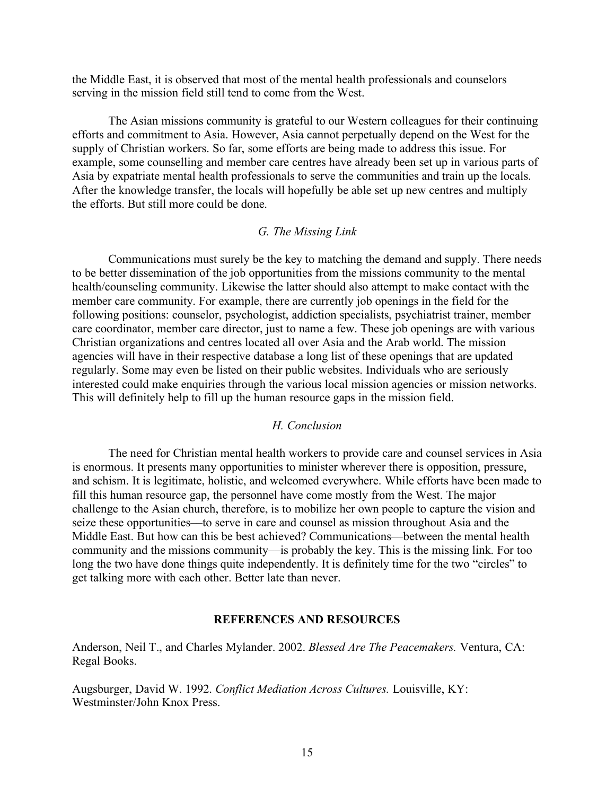the Middle East, it is observed that most of the mental health professionals and counselors serving in the mission field still tend to come from the West.

The Asian missions community is grateful to our Western colleagues for their continuing efforts and commitment to Asia. However, Asia cannot perpetually depend on the West for the supply of Christian workers. So far, some efforts are being made to address this issue. For example, some counselling and member care centres have already been set up in various parts of Asia by expatriate mental health professionals to serve the communities and train up the locals. After the knowledge transfer, the locals will hopefully be able set up new centres and multiply the efforts. But still more could be done.

## *G. The Missing Link*

Communications must surely be the key to matching the demand and supply. There needs to be better dissemination of the job opportunities from the missions community to the mental health/counseling community. Likewise the latter should also attempt to make contact with the member care community. For example, there are currently job openings in the field for the following positions: counselor, psychologist, addiction specialists, psychiatrist trainer, member care coordinator, member care director, just to name a few. These job openings are with various Christian organizations and centres located all over Asia and the Arab world. The mission agencies will have in their respective database a long list of these openings that are updated regularly. Some may even be listed on their public websites. Individuals who are seriously interested could make enquiries through the various local mission agencies or mission networks. This will definitely help to fill up the human resource gaps in the mission field.

# *H. Conclusion*

The need for Christian mental health workers to provide care and counsel services in Asia is enormous. It presents many opportunities to minister wherever there is opposition, pressure, and schism. It is legitimate, holistic, and welcomed everywhere. While efforts have been made to fill this human resource gap, the personnel have come mostly from the West. The major challenge to the Asian church, therefore, is to mobilize her own people to capture the vision and seize these opportunities––to serve in care and counsel as mission throughout Asia and the Middle East. But how can this be best achieved? Communications––between the mental health community and the missions community––is probably the key. This is the missing link. For too long the two have done things quite independently. It is definitely time for the two "circles" to get talking more with each other. Better late than never.

# **REFERENCES AND RESOURCES**

Anderson, Neil T., and Charles Mylander. 2002. *Blessed Are The Peacemakers.* Ventura, CA: Regal Books.

Augsburger, David W. 1992. *Conflict Mediation Across Cultures.* Louisville, KY: Westminster/John Knox Press.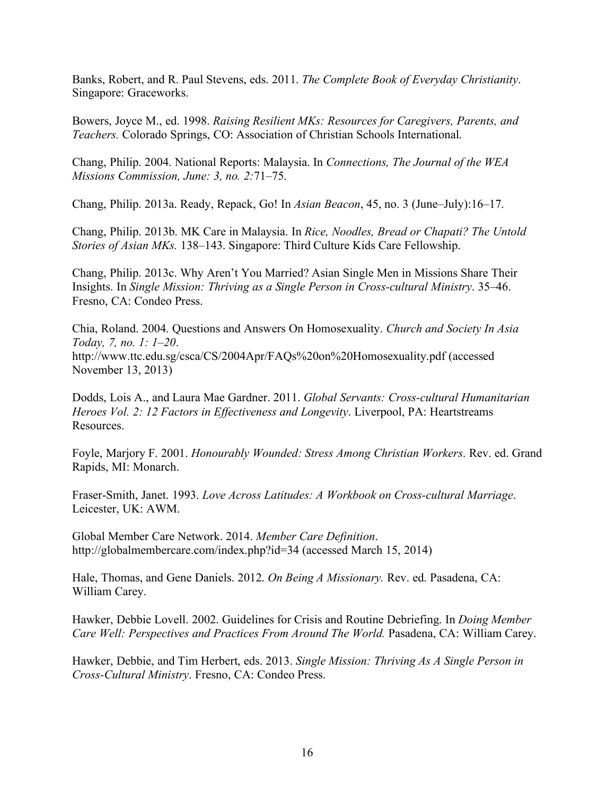Banks, Robert, and R. Paul Stevens, eds. 2011. *The Complete Book of Everyday Christianity*. Singapore: Graceworks.

Bowers, Joyce M., ed. 1998. *Raising Resilient MKs: Resources for Caregivers, Parents, and Teachers.* Colorado Springs, CO: Association of Christian Schools International.

Chang, Philip. 2004. National Reports: Malaysia. In *Connections, The Journal of the WEA Missions Commission, June: 3, no. 2:*71–75.

Chang, Philip. 2013a. Ready, Repack, Go! In *Asian Beacon*, 45, no. 3 (June–July):16–17.

Chang, Philip. 2013b. MK Care in Malaysia. In *Rice, Noodles, Bread or Chapati? The Untold Stories of Asian MKs.* 138–143. Singapore: Third Culture Kids Care Fellowship.

Chang, Philip. 2013c. Why Aren't You Married? Asian Single Men in Missions Share Their Insights. In *Single Mission: Thriving as a Single Person in Cross-cultural Ministry*. 35–46. Fresno, CA: Condeo Press.

Chia, Roland. 2004. Questions and Answers On Homosexuality. *Church and Society In Asia Today, 7, no. 1: 1–20*. http://www.ttc.edu.sg/csca/CS/2004Apr/FAQs%20on%20Homosexuality.pdf (accessed November 13, 2013)

Dodds, Lois A., and Laura Mae Gardner. 2011. *Global Servants: Cross-cultural Humanitarian Heroes Vol. 2: 12 Factors in Effectiveness and Longevity*. Liverpool, PA: Heartstreams Resources.

Foyle, Marjory F. 2001. *Honourably Wounded: Stress Among Christian Workers*. Rev. ed. Grand Rapids, MI: Monarch.

Fraser-Smith, Janet. 1993. *Love Across Latitudes: A Workbook on Cross-cultural Marriage*. Leicester, UK: AWM.

Global Member Care Network. 2014. *Member Care Definition*. http://globalmembercare.com/index.php?id=34 (accessed March 15, 2014)

Hale, Thomas, and Gene Daniels. 2012. *On Being A Missionary.* Rev. ed. Pasadena, CA: William Carey.

Hawker, Debbie Lovell. 2002. Guidelines for Crisis and Routine Debriefing. In *Doing Member Care Well: Perspectives and Practices From Around The World.* Pasadena, CA: William Carey.

Hawker, Debbie, and Tim Herbert, eds. 2013. *Single Mission: Thriving As A Single Person in Cross-Cultural Ministry*. Fresno, CA: Condeo Press.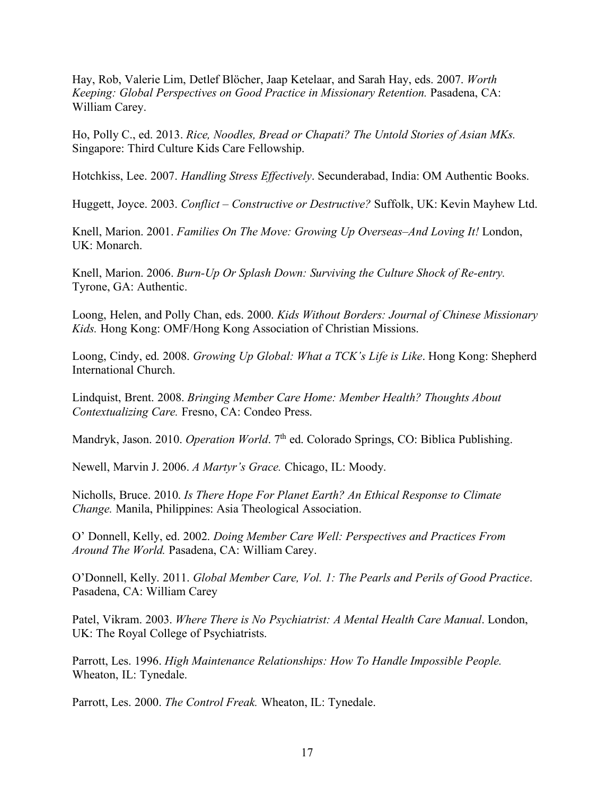Hay, Rob, Valerie Lim, Detlef Blöcher, Jaap Ketelaar, and Sarah Hay, eds. 2007. *Worth Keeping: Global Perspectives on Good Practice in Missionary Retention.* Pasadena, CA: William Carey.

Ho, Polly C., ed. 2013. *Rice, Noodles, Bread or Chapati? The Untold Stories of Asian MKs.* Singapore: Third Culture Kids Care Fellowship.

Hotchkiss, Lee. 2007. *Handling Stress Effectively*. Secunderabad, India: OM Authentic Books.

Huggett, Joyce. 2003. *Conflict – Constructive or Destructive?* Suffolk, UK: Kevin Mayhew Ltd.

Knell, Marion. 2001. *Families On The Move: Growing Up Overseas–And Loving It!* London, UK: Monarch.

Knell, Marion. 2006. *Burn-Up Or Splash Down: Surviving the Culture Shock of Re-entry.* Tyrone, GA: Authentic.

Loong, Helen, and Polly Chan, eds. 2000. *Kids Without Borders: Journal of Chinese Missionary Kids.* Hong Kong: OMF/Hong Kong Association of Christian Missions.

Loong, Cindy, ed. 2008. *Growing Up Global: What a TCK's Life is Like*. Hong Kong: Shepherd International Church.

Lindquist, Brent. 2008. *Bringing Member Care Home: Member Health? Thoughts About Contextualizing Care.* Fresno, CA: Condeo Press.

Mandryk, Jason. 2010. *Operation World*. 7<sup>th</sup> ed. Colorado Springs, CO: Biblica Publishing.

Newell, Marvin J. 2006. *A Martyr's Grace.* Chicago, IL: Moody.

Nicholls, Bruce. 2010. *Is There Hope For Planet Earth? An Ethical Response to Climate Change.* Manila, Philippines: Asia Theological Association.

O' Donnell, Kelly, ed. 2002. *Doing Member Care Well: Perspectives and Practices From Around The World.* Pasadena, CA: William Carey.

O'Donnell, Kelly. 2011. *Global Member Care, Vol. 1: The Pearls and Perils of Good Practice*. Pasadena, CA: William Carey

Patel, Vikram. 2003. *Where There is No Psychiatrist: A Mental Health Care Manual*. London, UK: The Royal College of Psychiatrists.

Parrott, Les. 1996. *High Maintenance Relationships: How To Handle Impossible People.* Wheaton, IL: Tynedale.

Parrott, Les. 2000. *The Control Freak.* Wheaton, IL: Tynedale.